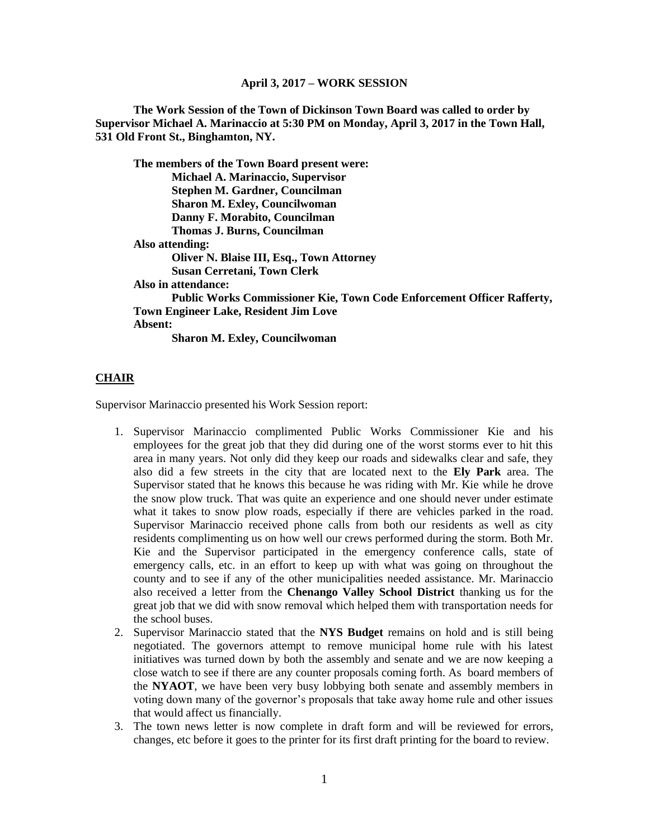#### **April 3, 2017 – WORK SESSION**

**The Work Session of the Town of Dickinson Town Board was called to order by Supervisor Michael A. Marinaccio at 5:30 PM on Monday, April 3, 2017 in the Town Hall, 531 Old Front St., Binghamton, NY.**

**The members of the Town Board present were: Michael A. Marinaccio, Supervisor Stephen M. Gardner, Councilman Sharon M. Exley, Councilwoman Danny F. Morabito, Councilman Thomas J. Burns, Councilman Also attending: Oliver N. Blaise III, Esq., Town Attorney Susan Cerretani, Town Clerk Also in attendance: Public Works Commissioner Kie, Town Code Enforcement Officer Rafferty, Town Engineer Lake, Resident Jim Love Absent:**

**Sharon M. Exley, Councilwoman**

### **CHAIR**

Supervisor Marinaccio presented his Work Session report:

- 1. Supervisor Marinaccio complimented Public Works Commissioner Kie and his employees for the great job that they did during one of the worst storms ever to hit this area in many years. Not only did they keep our roads and sidewalks clear and safe, they also did a few streets in the city that are located next to the **Ely Park** area. The Supervisor stated that he knows this because he was riding with Mr. Kie while he drove the snow plow truck. That was quite an experience and one should never under estimate what it takes to snow plow roads, especially if there are vehicles parked in the road. Supervisor Marinaccio received phone calls from both our residents as well as city residents complimenting us on how well our crews performed during the storm. Both Mr. Kie and the Supervisor participated in the emergency conference calls, state of emergency calls, etc. in an effort to keep up with what was going on throughout the county and to see if any of the other municipalities needed assistance. Mr. Marinaccio also received a letter from the **Chenango Valley School District** thanking us for the great job that we did with snow removal which helped them with transportation needs for the school buses.
- 2. Supervisor Marinaccio stated that the **NYS Budget** remains on hold and is still being negotiated. The governors attempt to remove municipal home rule with his latest initiatives was turned down by both the assembly and senate and we are now keeping a close watch to see if there are any counter proposals coming forth. As board members of the **NYAOT**, we have been very busy lobbying both senate and assembly members in voting down many of the governor's proposals that take away home rule and other issues that would affect us financially.
- 3. The town news letter is now complete in draft form and will be reviewed for errors, changes, etc before it goes to the printer for its first draft printing for the board to review.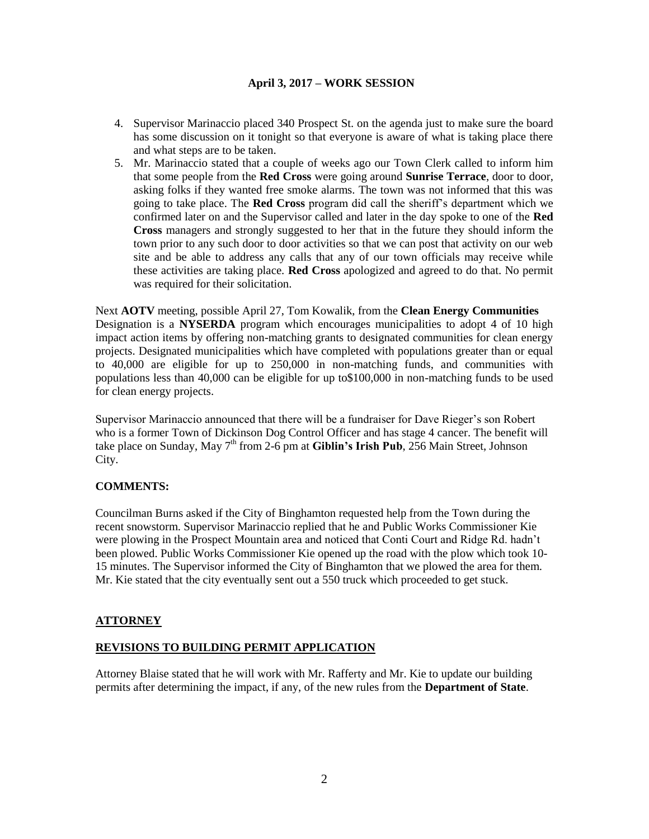### **April 3, 2017 – WORK SESSION**

- 4. Supervisor Marinaccio placed 340 Prospect St. on the agenda just to make sure the board has some discussion on it tonight so that everyone is aware of what is taking place there and what steps are to be taken.
- 5. Mr. Marinaccio stated that a couple of weeks ago our Town Clerk called to inform him that some people from the **Red Cross** were going around **Sunrise Terrace**, door to door, asking folks if they wanted free smoke alarms. The town was not informed that this was going to take place. The **Red Cross** program did call the sheriff's department which we confirmed later on and the Supervisor called and later in the day spoke to one of the **Red Cross** managers and strongly suggested to her that in the future they should inform the town prior to any such door to door activities so that we can post that activity on our web site and be able to address any calls that any of our town officials may receive while these activities are taking place. **Red Cross** apologized and agreed to do that. No permit was required for their solicitation.

Next **AOTV** meeting, possible April 27, Tom Kowalik, from the **Clean Energy Communities** Designation is a **NYSERDA** program which encourages municipalities to adopt 4 of 10 high impact action items by offering non-matching grants to designated communities for clean energy projects. Designated municipalities which have completed with populations greater than or equal to 40,000 are eligible for up to 250,000 in non-matching funds, and communities with populations less than 40,000 can be eligible for up to\$100,000 in non-matching funds to be used for clean energy projects.

Supervisor Marinaccio announced that there will be a fundraiser for Dave Rieger's son Robert who is a former Town of Dickinson Dog Control Officer and has stage 4 cancer. The benefit will take place on Sunday, May 7<sup>th</sup> from 2-6 pm at **Giblin's Irish Pub**, 256 Main Street, Johnson City.

# **COMMENTS:**

Councilman Burns asked if the City of Binghamton requested help from the Town during the recent snowstorm. Supervisor Marinaccio replied that he and Public Works Commissioner Kie were plowing in the Prospect Mountain area and noticed that Conti Court and Ridge Rd. hadn't been plowed. Public Works Commissioner Kie opened up the road with the plow which took 10- 15 minutes. The Supervisor informed the City of Binghamton that we plowed the area for them. Mr. Kie stated that the city eventually sent out a 550 truck which proceeded to get stuck.

### **ATTORNEY**

### **REVISIONS TO BUILDING PERMIT APPLICATION**

Attorney Blaise stated that he will work with Mr. Rafferty and Mr. Kie to update our building permits after determining the impact, if any, of the new rules from the **Department of State**.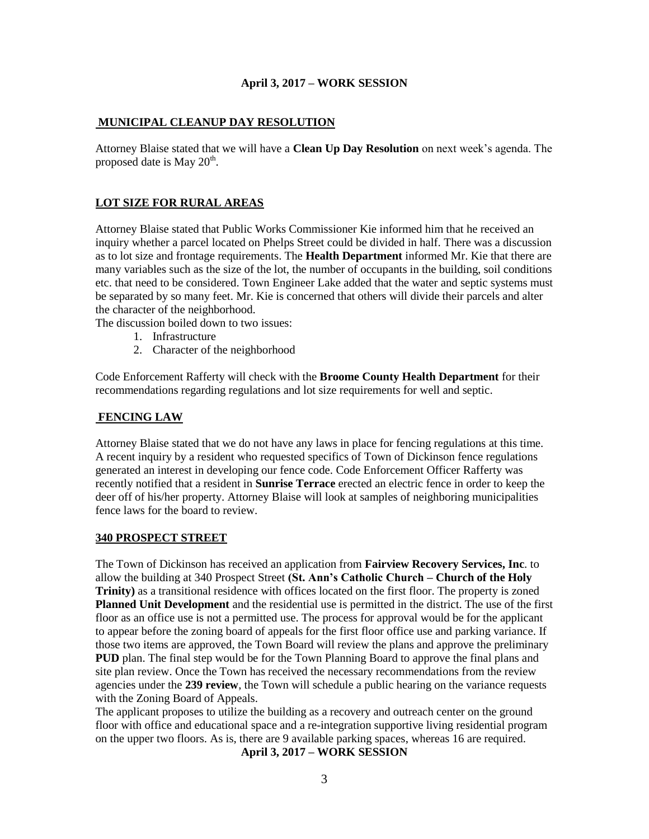#### **April 3, 2017 – WORK SESSION**

### **MUNICIPAL CLEANUP DAY RESOLUTION**

Attorney Blaise stated that we will have a **Clean Up Day Resolution** on next week's agenda. The proposed date is May  $20<sup>th</sup>$ .

## **LOT SIZE FOR RURAL AREAS**

Attorney Blaise stated that Public Works Commissioner Kie informed him that he received an inquiry whether a parcel located on Phelps Street could be divided in half. There was a discussion as to lot size and frontage requirements. The **Health Department** informed Mr. Kie that there are many variables such as the size of the lot, the number of occupants in the building, soil conditions etc. that need to be considered. Town Engineer Lake added that the water and septic systems must be separated by so many feet. Mr. Kie is concerned that others will divide their parcels and alter the character of the neighborhood.

The discussion boiled down to two issues:

- 1. Infrastructure
- 2. Character of the neighborhood

Code Enforcement Rafferty will check with the **Broome County Health Department** for their recommendations regarding regulations and lot size requirements for well and septic.

#### **FENCING LAW**

Attorney Blaise stated that we do not have any laws in place for fencing regulations at this time. A recent inquiry by a resident who requested specifics of Town of Dickinson fence regulations generated an interest in developing our fence code. Code Enforcement Officer Rafferty was recently notified that a resident in **Sunrise Terrace** erected an electric fence in order to keep the deer off of his/her property. Attorney Blaise will look at samples of neighboring municipalities fence laws for the board to review.

#### **340 PROSPECT STREET**

The Town of Dickinson has received an application from **Fairview Recovery Services, Inc**. to allow the building at 340 Prospect Street **(St. Ann's Catholic Church – Church of the Holy Trinity**) as a transitional residence with offices located on the first floor. The property is zoned **Planned Unit Development** and the residential use is permitted in the district. The use of the first floor as an office use is not a permitted use. The process for approval would be for the applicant to appear before the zoning board of appeals for the first floor office use and parking variance. If those two items are approved, the Town Board will review the plans and approve the preliminary **PUD** plan. The final step would be for the Town Planning Board to approve the final plans and site plan review. Once the Town has received the necessary recommendations from the review agencies under the **239 review**, the Town will schedule a public hearing on the variance requests with the Zoning Board of Appeals.

The applicant proposes to utilize the building as a recovery and outreach center on the ground floor with office and educational space and a re-integration supportive living residential program on the upper two floors. As is, there are 9 available parking spaces, whereas 16 are required.

**April 3, 2017 – WORK SESSION**